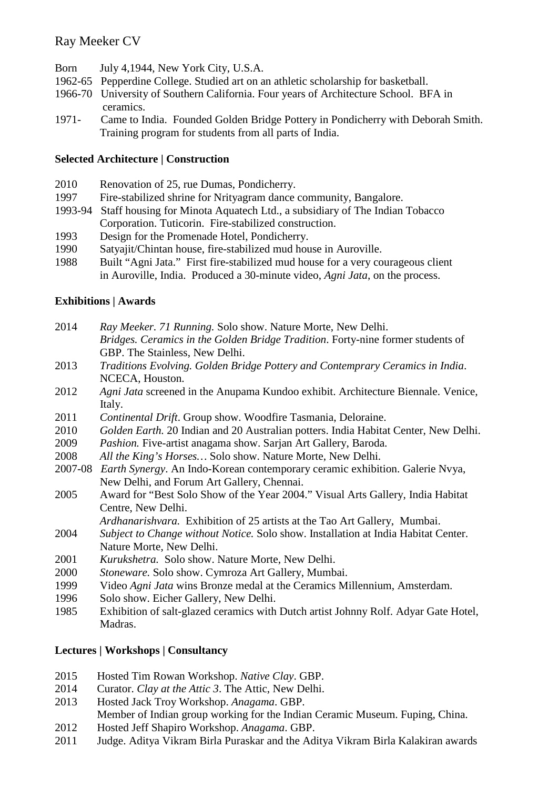# Ray Meeker CV

- Born July 4,1944, New York City, U.S.A.
- 1962-65 Pepperdine College. Studied art on an athletic scholarship for basketball.
- 1966-70 University of Southern California. Four years of Architecture School. BFA in ceramics.
- 1971- Came to India. Founded Golden Bridge Pottery in Pondicherry with Deborah Smith. Training program for students from all parts of India.

### **Selected Architecture | Construction**

- 2010 Renovation of 25, rue Dumas, Pondicherry.
- 1997 Fire-stabilized shrine for Nrityagram dance community, Bangalore.
- 1993-94 Staff housing for Minota Aquatech Ltd., a subsidiary of The Indian Tobacco Corporation. Tuticorin. Fire-stabilized construction.
- 1993 Design for the Promenade Hotel, Pondicherry.
- 1990 Satyajit/Chintan house, fire-stabilized mud house in Auroville.
- 1988 Built "Agni Jata." First fire-stabilized mud house for a very courageous client in Auroville, India. Produced a 30-minute video, *Agni Jata*, on the process.

### **Exhibitions | Awards**

- 2014 *Ray Meeker. 71 Running.* Solo show. Nature Morte, New Delhi. *Bridges. Ceramics in the Golden Bridge Tradition*. Forty-nine former students of GBP. The Stainless, New Delhi.
- 2013 *Traditions Evolving. Golden Bridge Pottery and Contemprary Ceramics in India*. NCECA, Houston.
- 2012 *Agni Jata* screened in the Anupama Kundoo exhibit. Architecture Biennale. Venice, Italy.
- 2011 *Continental Drift*. Group show. Woodfire Tasmania, Deloraine.
- 2010 *Golden Earth.* 20 Indian and 20 Australian potters. India Habitat Center, New Delhi.
- 2009 *Pashion.* Five-artist anagama show. Sarjan Art Gallery, Baroda.
- 2008 *All the King's Horses…* Solo show. Nature Morte, New Delhi.
- 2007-08 *Earth Synergy*. An Indo-Korean contemporary ceramic exhibition. Galerie Nvya, New Delhi, and Forum Art Gallery, Chennai.
- 2005 Award for "Best Solo Show of the Year 2004." Visual Arts Gallery, India Habitat Centre, New Delhi.
	- *Ardhanarishvara.* Exhibition of 25 artists at the Tao Art Gallery, Mumbai.
- 2004 *Subject to Change without Notice.* Solo show. Installation at India Habitat Center. Nature Morte, New Delhi.
- 2001 *Kurukshetra.* Solo show. Nature Morte, New Delhi.
- 2000 *Stoneware.* Solo show. Cymroza Art Gallery, Mumbai.
- 1999 Video *Agni Jata* wins Bronze medal at the Ceramics Millennium, Amsterdam.
- 1996 Solo show. Eicher Gallery, New Delhi.
- 1985 Exhibition of salt-glazed ceramics with Dutch artist Johnny Rolf. Adyar Gate Hotel, Madras.

### **Lectures | Workshops | Consultancy**

- 2015 Hosted Tim Rowan Workshop. *Native Clay*. GBP.
- 2014 Curator. *Clay at the Attic 3*. The Attic, New Delhi.
- 2013 Hosted Jack Troy Workshop. *Anagama*. GBP.
- Member of Indian group working for the Indian Ceramic Museum. Fuping, China.
- 2012 Hosted Jeff Shapiro Workshop. *Anagama*. GBP.
- 2011 Judge. Aditya Vikram Birla Puraskar and the Aditya Vikram Birla Kalakiran awards